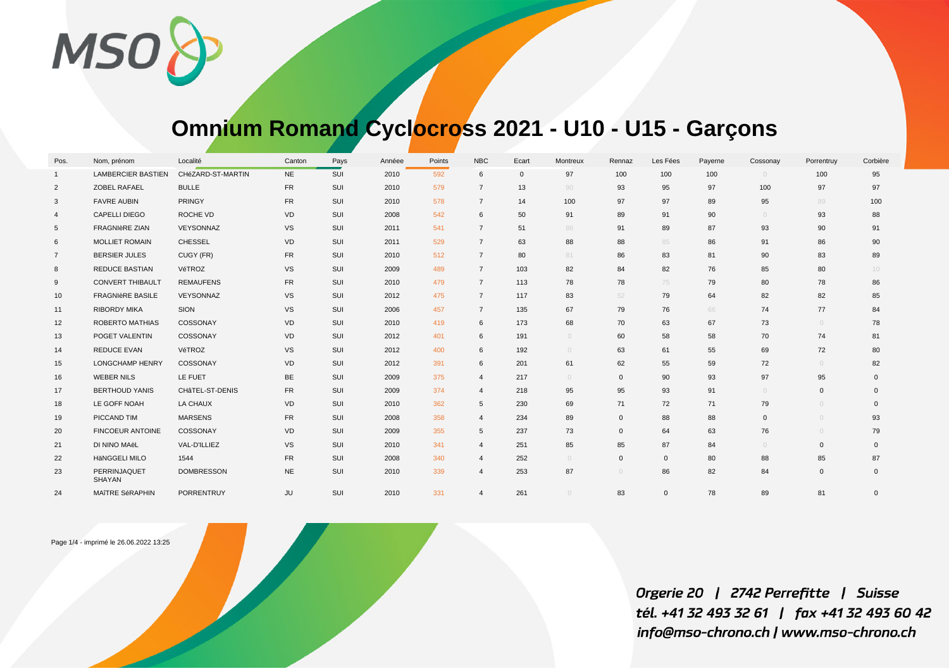MSO<sup>8</sup>

## **Omnium Romand Cyclocross 2021 - U10 - U15 - Garçons**

| Pos.            | Nom, prénom                   | Localité          | Canton    | Pays | Annéee | Points | <b>NBC</b>     | Ecart       | Montreux   | Rennaz      | Les Fées    | Payerne | Cossonay   | Porrentruy   | Corbière |
|-----------------|-------------------------------|-------------------|-----------|------|--------|--------|----------------|-------------|------------|-------------|-------------|---------|------------|--------------|----------|
| $\overline{1}$  | <b>LAMBERCIER BASTIEN</b>     | CHéZARD-ST-MARTIN | <b>NE</b> | SUI  | 2010   | 592    | 6              | $\mathbf 0$ | 97         | 100         | 100         | 100     | $\circ$    | 100          | 95       |
| 2               | ZOBEL RAFAEL                  | <b>BULLE</b>      | <b>FR</b> | SUI  | 2010   | 579    | $\overline{7}$ | 13          | 90         | 93          | 95          | 97      | 100        | 97           | 97       |
| 3               | <b>FAVRE AUBIN</b>            | PRINGY            | <b>FR</b> | SUI  | 2010   | 578    | $\overline{7}$ | 14          | 100        | 97          | 97          | 89      | 95         | 89           | 100      |
| $\overline{4}$  | <b>CAPELLI DIEGO</b>          | ROCHE VD          | <b>VD</b> | SUI  | 2008   | 542    | 6              | 50          | 91         | 89          | 91          | 90      | $\bigcirc$ | 93           | 88       |
| 5               | <b>FRAGNIèRE ZIAN</b>         | VEYSONNAZ         | <b>VS</b> | SUI  | 2011   | 541    | $\overline{7}$ | 51          | 86         | 91          | 89          | 87      | 93         | 90           | 91       |
| 6               | <b>MOLLIET ROMAIN</b>         | <b>CHESSEL</b>    | <b>VD</b> | SUI  | 2011   | 529    | $\overline{7}$ | 63          | 88         | 88          | 85          | 86      | 91         | 86           | 90       |
| $\overline{7}$  | <b>BERSIER JULES</b>          | CUGY (FR)         | <b>FR</b> | SUI  | 2010   | 512    | $\overline{7}$ | 80          | 81         | 86          | 83          | 81      | 90         | 83           | 89       |
| 8               | <b>REDUCE BASTIAN</b>         | VéTROZ            | <b>VS</b> | SUI  | 2009   | 489    | $\overline{7}$ | 103         | 82         | 84          | 82          | 76      | 85         | 80           | $10 -$   |
| 9               | <b>CONVERT THIBAULT</b>       | <b>REMAUFENS</b>  | <b>FR</b> | SUI  | 2010   | 479    | $\overline{7}$ | 113         | 78         | 78          | 75          | 79      | 80         | 78           | 86       |
| 10 <sup>°</sup> | <b>FRAGNIèRE BASILE</b>       | VEYSONNAZ         | <b>VS</b> | SUI  | 2012   | 475    | $\overline{7}$ | 117         | 83         | 52          | 79          | 64      | 82         | 82           | 85       |
| 11              | <b>RIBORDY MIKA</b>           | SION              | <b>VS</b> | SUI  | 2006   | 457    | $\overline{7}$ | 135         | 67         | 79          | 76          | 66      | 74         | 77           | 84       |
| 12              | <b>ROBERTO MATHIAS</b>        | COSSONAY          | <b>VD</b> | SUI  | 2010   | 419    | 6              | 173         | 68         | 70          | 63          | 67      | 73         | $\circ$      | 78       |
| 13              | POGET VALENTIN                | COSSONAY          | <b>VD</b> | SUI  | 2012   | 401    | 6              | 191         | $\bigcirc$ | 60          | 58          | 58      | 70         | 74           | 81       |
| 14              | REDUCE EVAN                   | VéTROZ            | <b>VS</b> | SUI  | 2012   | 400    | 6              | 192         | $\bigcirc$ | 63          | 61          | 55      | 69         | 72           | 80       |
| 15              | <b>LONGCHAMP HENRY</b>        | COSSONAY          | <b>VD</b> | SUI  | 2012   | 391    | 6              | 201         | 61         | 62          | 55          | 59      | 72         | $\circ$      | 82       |
| 16              | <b>WEBER NILS</b>             | LE FUET           | <b>BE</b> | SUI  | 2009   | 375    | $\overline{4}$ | 217         | $\bigcirc$ | $\mathbf 0$ | 90          | 93      | 97         | 95           | $\Omega$ |
| 17              | <b>BERTHOUD YANIS</b>         | CHâTEL-ST-DENIS   | FR.       | SUI  | 2009   | 374    | $\overline{4}$ | 218         | 95         | 95          | 93          | 91      | $\bigcirc$ | $\mathbf{0}$ | $\Omega$ |
| 18              | LE GOFF NOAH                  | <b>LA CHAUX</b>   | <b>VD</b> | SUI  | 2010   | 362    | 5              | 230         | 69         | 71          | 72          | 71      | 79         | $\bigcirc$   | $\Omega$ |
| 19              | PICCAND TIM                   | <b>MARSENS</b>    | FR.       | SUI  | 2008   | 358    | $\overline{4}$ | 234         | 89         | $\mathbf 0$ | 88          | 88      | $\Omega$   | $\circ$      | 93       |
| 20              | <b>FINCOEUR ANTOINE</b>       | COSSONAY          | VD        | SUI  | 2009   | 355    | 5              | 237         | 73         | $\mathbf 0$ | 64          | 63      | 76         | $\circ$      | 79       |
| 21              | DI NINO MAËL                  | VAL-D'ILLIEZ      | <b>VS</b> | SUI  | 2010   | 341    | $\overline{4}$ | 251         | 85         | 85          | 87          | 84      | $\bigcirc$ | $\mathbf{0}$ | $\Omega$ |
| 22              | HäNGGELI MILO                 | 1544              | FR.       | SUI  | 2008   | 340    | $\overline{4}$ | 252         | $\bigcirc$ | $\mathbf 0$ | $\mathbf 0$ | 80      | 88         | 85           | 87       |
| 23              | PERRINJAQUET<br><b>SHAYAN</b> | <b>DOMBRESSON</b> | <b>NE</b> | SUI  | 2010   | 339    | $\overline{4}$ | 253         | 87         | $\circ$     | 86          | 82      | 84         | 0            | $\Omega$ |
| 24              | MAÎTRE SéRAPHIN               | PORRENTRUY        | JU        | SUI  | 2010   | 331    | $\overline{4}$ | 261         |            | 83          | $\mathbf 0$ | 78      | 89         | 81           | $\Omega$ |

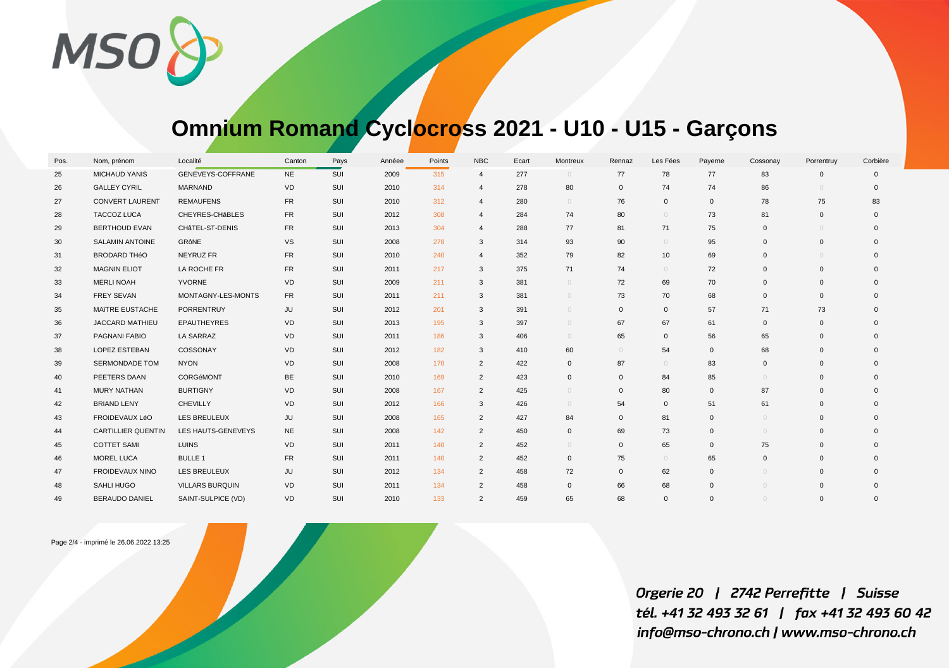MSO<sup>8</sup>

## **Omnium Romand Cyclocross 2021 - U10 - U15 - Garçons**

| Pos. | Nom, prénom               | Localité               | Canton    | Pays | Annéee | Points | <b>NBC</b>     | Ecart | Montreux     | Rennaz       | Les Fées     | Payerne      | Cossonay     | Porrentruy   | Corbière |
|------|---------------------------|------------------------|-----------|------|--------|--------|----------------|-------|--------------|--------------|--------------|--------------|--------------|--------------|----------|
| 25   | <b>MICHAUD YANIS</b>      | GENEVEYS-COFFRANE      | <b>NE</b> | SUI  | 2009   | 315    | $\overline{4}$ | 277   | $\circ$      | 77           | 78           | 77           | 83           | $\Omega$     | $\Omega$ |
| 26   | <b>GALLEY CYRIL</b>       | MARNAND                | VD        | SUI  | 2010   | 314    | $\overline{4}$ | 278   | 80           | $\mathsf 0$  | 74           | 74           | 86           |              | $\Omega$ |
| 27   | <b>CONVERT LAURENT</b>    | <b>REMAUFENS</b>       | <b>FR</b> | SUI  | 2010   | 312    | $\overline{4}$ | 280   | $\circ$      | 76           | $\mathbf 0$  | $\mathbf 0$  | 78           | 75           | 83       |
| 28   | <b>TACCOZ LUCA</b>        | CHEYRES-CHABLES        | FR.       | SUI  | 2012   | 308    | $\overline{4}$ | 284   | 74           | 80           | $\circ$      | 73           | 81           | $\Omega$     | $\Omega$ |
| 29   | <b>BERTHOUD EVAN</b>      | CHâTEL-ST-DENIS        | <b>FR</b> | SUI  | 2013   | 304    | $\overline{4}$ | 288   | 77           | 81           | 71           | 75           | $\mathbf{0}$ |              | $\Omega$ |
| 30   | <b>SALAMIN ANTOINE</b>    | GRôNE                  | <b>VS</b> | SUI  | 2008   | 278    | 3              | 314   | 93           | 90           | $\circ$      | 95           | $\Omega$     | $\Omega$     | $\Omega$ |
| 31   | <b>BRODARD THéO</b>       | NEYRUZ FR              | <b>FR</b> | SUI  | 2010   | 240    | $\overline{4}$ | 352   | 79           | 82           | 10           | 69           | $\Omega$     |              | $\Omega$ |
| 32   | <b>MAGNIN ELIOT</b>       | LA ROCHE FR            | FR.       | SUI  | 2011   | 217    | 3              | 375   | 71           | 74           | $\circ$      | 72           | $\Omega$     | $\Omega$     | $\Omega$ |
| 33   | <b>MERLI NOAH</b>         | YVORNE                 | VD        | SUI  | 2009   | 211    | 3              | 381   | $\circ$      | 72           | 69           | 70           | $\Omega$     | $\Omega$     |          |
| 34   | <b>FREY SEVAN</b>         | MONTAGNY-LES-MONTS     | FR        | SUI  | 2011   | 211    | 3              | 381   | $\circ$      | 73           | 70           | 68           | $\Omega$     | $\Omega$     |          |
| 35   | MAÎTRE EUSTACHE           | PORRENTRUY             | JU        | SUI  | 2012   | 201    | 3              | 391   | $\circ$      | $\mathbf{0}$ | $\mathbf 0$  | 57           | 71           | 73           | $\Omega$ |
| 36   | <b>JACCARD MATHIEU</b>    | <b>EPAUTHEYRES</b>     | VD        | SUI  | 2013   | 195    | 3              | 397   | $\circ$      | 67           | 67           | 61           | $\mathbf{0}$ | $\Omega$     |          |
| 37   | PAGNANI FABIO             | <b>LA SARRAZ</b>       | VD        | SUI  | 2011   | 186    | 3              | 406   | $\circ$      | 65           | $\mathbf 0$  | 56           | 65           | $\Omega$     | $\Omega$ |
| 38   | LOPEZ ESTEBAN             | COSSONAY               | VD        | SUI  | 2012   | 182    | 3              | 410   | 60           | $\circ$      | 54           | $\mathbf 0$  | 68           | $\Omega$     | $\Omega$ |
| 39   | <b>SERMONDADE TOM</b>     | <b>NYON</b>            | <b>VD</b> | SUI  | 2008   | 170    | 2              | 422   | $\mathbf{0}$ | 87           | $\circ$      | 83           | $\mathbf{0}$ | $\Omega$     | $\Omega$ |
| 40   | PEETERS DAAN              | CORGéMONT              | <b>BE</b> | SUI  | 2010   | 169    | $\overline{2}$ | 423   | $\mathbf{0}$ | $\mathbf{0}$ | 84           | 85           | $\bigcirc$   | $\mathbf{0}$ | $\Omega$ |
| 41   | <b>MURY NATHAN</b>        | <b>BURTIGNY</b>        | <b>VD</b> | SUI  | 2008   | 167    | 2              | 425   | $\circ$      | $\mathbf{0}$ | 80           | $\mathbf{0}$ | 87           | $\Omega$     | $\Omega$ |
| 42   | <b>BRIAND LENY</b>        | <b>CHEVILLY</b>        | <b>VD</b> | SUI  | 2012   | 166    | 3              | 426   | $\bigcirc$   | 54           | $\mathbf 0$  | 51           | 61           | $\Omega$     |          |
| 43   | FROIDEVAUX LéO            | LES BREULEUX           | JU        | SUI  | 2008   | 165    | 2              | 427   | 84           | $\mathbf{0}$ | 81           | $\mathbf{0}$ | $\bigcirc$   | $\Omega$     | $\Omega$ |
| 44   | <b>CARTILLIER QUENTIN</b> | LES HAUTS-GENEVEYS     | <b>NE</b> | SUI  | 2008   | 142    | $\overline{2}$ | 450   | $\mathbf 0$  | 69           | 73           | $\mathbf 0$  | $\bigcap$    | $\Omega$     | $\Omega$ |
| 45   | <b>COTTET SAMI</b>        | <b>LUINS</b>           | VD        | SUI  | 2011   | 140    | $\overline{2}$ | 452   | $\bigcirc$   | $\mathbf 0$  | 65           | $\mathbf 0$  | 75           | $\Omega$     |          |
| 46   | MOREL LUCA                | <b>BULLE 1</b>         | <b>FR</b> | SUI  | 2011   | 140    | $\overline{2}$ | 452   | $\mathbf 0$  | 75           | $\circ$      | 65           | $\Omega$     | $\Omega$     | $\Omega$ |
| 47   | <b>FROIDEVAUX NINO</b>    | LES BREULEUX           | JU        | SUI  | 2012   | 134    | $\overline{2}$ | 458   | 72           | $\mathbf{0}$ | 62           | $\mathbf 0$  | $\bigcirc$   | $\Omega$     |          |
| 48   | SAHLI HUGO                | <b>VILLARS BURQUIN</b> | VD        | SUI  | 2011   | 134    | $\overline{2}$ | 458   | $\mathbf 0$  | 66           | 68           | $\mathbf 0$  | $\bigcirc$   | $\Omega$     |          |
| 49   | <b>BERAUDO DANIEL</b>     | SAINT-SULPICE (VD)     | VD        | SUI  | 2010   | 133    | 2              | 459   | 65           | 68           | $\mathbf{0}$ | $\Omega$     | $\bigcirc$   | $\Omega$     | $\Omega$ |

Page 2/4 - imprimé le 26.06.2022 13:25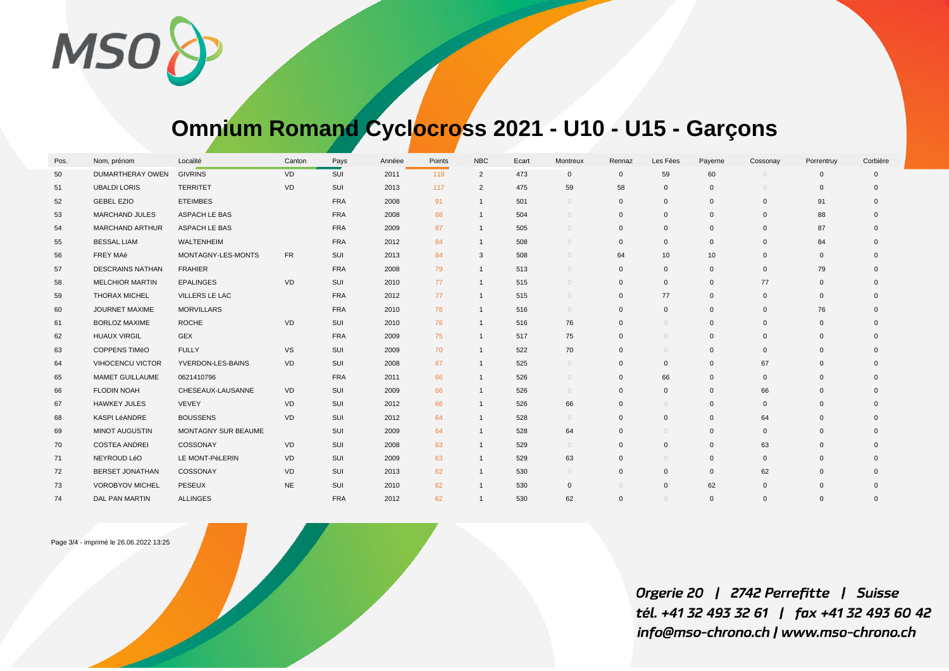

## **Omnium Romand Cyclocross 2021 - U10 - U15 - Garçons**

| Pos. | Nom, prénom             | Localité            | Canton         | Pays       | Annéee | Points | <b>NBC</b>     | Ecart | Montreux     | Rennaz       | Les Fées     | Payerne      | Cossonay     | Porrentruy  | Corbière     |
|------|-------------------------|---------------------|----------------|------------|--------|--------|----------------|-------|--------------|--------------|--------------|--------------|--------------|-------------|--------------|
| 50   | <b>DUMARTHERAY OWEN</b> | <b>GIVRINS</b>      | <b>VD</b>      | SUI        | 2011   | 119    | 2              | 473   | $\mathbf{0}$ | $\mathbf 0$  | 59           | 60           |              | $\Omega$    | $\mathbf{0}$ |
| 51   | <b>UBALDI LORIS</b>     | <b>TERRITET</b>     | <b>VD</b>      | SUI        | 2013   | 117    | 2              | 475   | 59           | 58           | $\mathbf{0}$ | $\mathbf{0}$ |              | $\Omega$    | $\Omega$     |
| 52   | <b>GEBEL EZIO</b>       | <b>ETEIMBES</b>     |                | <b>FRA</b> | 2008   | 91     | $\mathbf{1}$   | 501   | $\bigcirc$   | $\mathbf 0$  | $\mathbf 0$  | $\mathbf{0}$ | $\mathbf{0}$ | 91          | $\Omega$     |
| 53   | <b>MARCHAND JULES</b>   | ASPACH LE BAS       |                | <b>FRA</b> | 2008   | 88     | $\mathbf{1}$   | 504   | $\bigcirc$   | $\mathbf 0$  | $\mathbf 0$  | $\mathbf{0}$ | $\Omega$     | 88          | $\Omega$     |
| 54   | <b>MARCHAND ARTHUR</b>  | ASPACH LE BAS       |                | <b>FRA</b> | 2009   | 87     | $\mathbf{1}$   | 505   | $\bigcirc$   | $\mathbf 0$  | $\mathbf 0$  | $\mathbf{0}$ | $\mathbf{0}$ | 87          | $\mathbf{0}$ |
| 55   | <b>BESSAL LIAM</b>      | <b>WALTENHEIM</b>   |                | <b>FRA</b> | 2012   | 84     | $\mathbf{1}$   | 508   | $\circ$      | $\mathbf{0}$ | $\mathbf 0$  | $\mathbf 0$  | $\mathbf{0}$ | 84          | $\Omega$     |
| 56   | FREY MAé                | MONTAGNY-LES-MONTS  | FR.            | SUI        | 2013   | 84     | 3              | 508   | $\circ$      | 64           | 10           | 10           | $\mathbf{0}$ | $\Omega$    | $\Omega$     |
| 57   | <b>DESCRAINS NATHAN</b> | <b>FRAHIER</b>      |                | <b>FRA</b> | 2008   | 79     | $\mathbf{1}$   | 513   | $\circ$      | $\mathbf{0}$ | $\mathbf 0$  | $\mathbf 0$  | $\mathbf{0}$ | 79          | $\Omega$     |
| 58   | <b>MELCHIOR MARTIN</b>  | <b>EPALINGES</b>    | <b>VD</b>      | SUI        | 2010   | 77     | $\mathbf{1}$   | 515   | $\circ$      | $\mathbf 0$  | $\mathbf 0$  | $\mathbf{0}$ | 77           | $\mathbf 0$ |              |
| 59   | <b>THORAX MICHEL</b>    | VILLERS LE LAC      |                | <b>FRA</b> | 2012   | 77     | $\mathbf{1}$   | 515   | $\circ$      | $\mathbf 0$  | 77           | $\mathbf 0$  | $\mathbf{0}$ | $\mathbf 0$ | $\Omega$     |
| 60   | JOURNET MAXIME          | <b>MORVILLARS</b>   |                | <b>FRA</b> | 2010   | 76     | $\mathbf{1}$   | 516   | $\bigcirc$   | $\mathbf 0$  | $\mathbf 0$  | $\mathbf{0}$ | $\Omega$     | 76          | $\Omega$     |
| 61   | <b>BORLOZ MAXIME</b>    | <b>ROCHE</b>        | VD             | SUI        | 2010   | 76     | $\mathbf{1}$   | 516   | 76           | $\mathbf 0$  | $\circ$      | $\mathbf{0}$ | $\Omega$     | $\Omega$    | $\Omega$     |
| 62   | <b>HUAUX VIRGIL</b>     | <b>GEX</b>          |                | <b>FRA</b> | 2009   | 75     | $\mathbf{1}$   | 517   | 75           | $\mathbf 0$  | $\circ$      | $\mathbf{0}$ | $\Omega$     | $\Omega$    | $\Omega$     |
| 63   | COPPENS TIMéO           | <b>FULLY</b>        | <b>VS</b>      | SUI        | 2009   | 70     | $\mathbf{1}$   | 522   | 70           | $\mathbf 0$  | $\circ$      | $\mathbf 0$  | $\mathbf{0}$ | $\Omega$    | $\Omega$     |
| 64   | <b>VIHOCENCU VICTOR</b> | YVERDON-LES-BAINS   | <b>VD</b>      | SUI        | 2008   | 67     | $\overline{1}$ | 525   | $\circ$      | $\mathbf 0$  | $\mathbf 0$  | $\mathbf 0$  | 67           | $\mathbf 0$ | $\Omega$     |
| 65   | <b>MAMET GUILLAUME</b>  | 0621410796          |                | <b>FRA</b> | 2011   | 66     | $\overline{1}$ | 526   | $\circ$      | $\mathbf{0}$ | 66           | $\mathbf{0}$ | $\Omega$     | $\Omega$    | $\Omega$     |
| 66   | <b>FLODIN NOAH</b>      | CHESEAUX-LAUSANNE   | <b>VD</b>      | SUI        | 2009   | 66     | $\mathbf{1}$   | 526   | $\circ$      | $\mathbf 0$  | $\mathbf 0$  | $\mathbf{0}$ | 66           | $\mathbf 0$ | $\Omega$     |
| 67   | <b>HAWKEY JULES</b>     | VEVEY               | VD             | SUI        | 2012   | 66     | $\mathbf{1}$   | 526   | 66           | $\mathbf 0$  | $\circ$      | $\mathbf{0}$ | $\Omega$     | $\Omega$    | $\Omega$     |
| 68   | KASPI LéANDRE           | <b>BOUSSENS</b>     | <b>VD</b>      | SUI        | 2012   | 64     | $\mathbf{1}$   | 528   | $\bigcirc$   | $\mathbf{0}$ | $\mathbf 0$  | $\mathbf 0$  | 64           | $\mathbf 0$ | $\Omega$     |
| 69   | <b>MINOT AUGUSTIN</b>   | MONTAGNY SUR BEAUME |                | SUI        | 2009   | 64     | $\mathbf{1}$   | 528   | 64           | $\mathbf 0$  | $\circ$      | $\mathbf 0$  | $\Omega$     | $\Omega$    | $\Omega$     |
| 70   | <b>COSTEA ANDREI</b>    | COSSONAY            | VD             | SUI        | 2008   | 63     | $\mathbf{1}$   | 529   | $\bigcirc$   | $\mathbf 0$  | $\mathbf 0$  | $\mathbf{0}$ | 63           | $\Omega$    | $\Omega$     |
| 71   | NEYROUD LéO             | LE MONT-PèLERIN     | V <sub>D</sub> | SUI        | 2009   | 63     | $\mathbf{1}$   | 529   | 63           | $\mathbf{0}$ | $\circ$      | $\mathbf{0}$ | $\mathbf{0}$ | $\Omega$    | $\Omega$     |
| 72   | <b>BERSET JONATHAN</b>  | COSSONAY            | <b>VD</b>      | SUI        | 2013   | 62     | $\mathbf{1}$   | 530   | $\circ$      | $\mathbf 0$  | $\mathbf 0$  | $\mathbf 0$  | 62           | $\Omega$    | $\Omega$     |
| 73   | <b>VOROBYOV MICHEL</b>  | PESEUX              | <b>NE</b>      | SUI        | 2010   | 62     | $\mathbf{1}$   | 530   | $\mathbf{0}$ | $\circ$      | $\mathbf 0$  | 62           | $\mathbf{0}$ | $\Omega$    | $\Omega$     |
| 74   | DAL PAN MARTIN          | <b>ALLINGES</b>     |                | <b>FRA</b> | 2012   | 62     | $\mathbf{1}$   | 530   | 62           | $\mathbf 0$  | $\bigcirc$   | $\mathbf{0}$ | $\Omega$     | $\Omega$    | $\Omega$     |